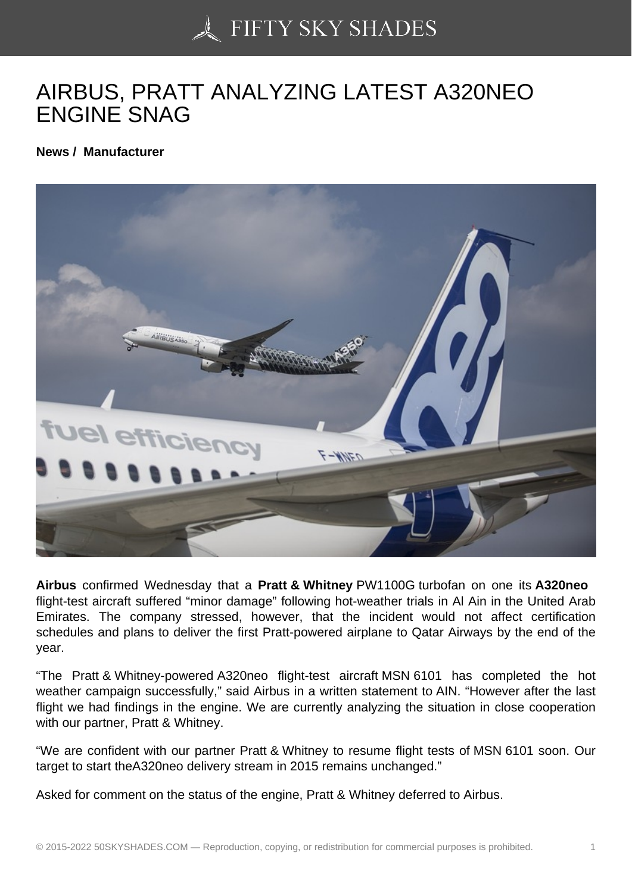## [AIRBUS, PRATT ANAL](https://50skyshades.com)YZING LATEST A320NEO ENGINE SNAG

News / Manufacturer

Airbus confirmed Wednesday that a Pratt & Whitney PW1100G turbofan on one its A320neo flight-test aircraft suffered "minor damage" following hot-weather trials in Al Ain in the United Arab Emirates. The company stressed, however, that the incident would not affect certification schedules and plans to deliver the first Pratt-powered airplane to Qatar Airways by the end of the year.

"The Pratt & Whitney-powered A320neo flight-test aircraft MSN 6101 has completed the hot weather campaign successfully," said Airbus in a written statement to AIN. "However after the last flight we had findings in the engine. We are currently analyzing the situation in close cooperation with our partner, Pratt & Whitney.

"We are confident with our partner Pratt & Whitney to resume flight tests of MSN 6101 soon. Our target to start theA320neo delivery stream in 2015 remains unchanged."

Asked for comment on the status of the engine, Pratt & Whitney deferred to Airbus.